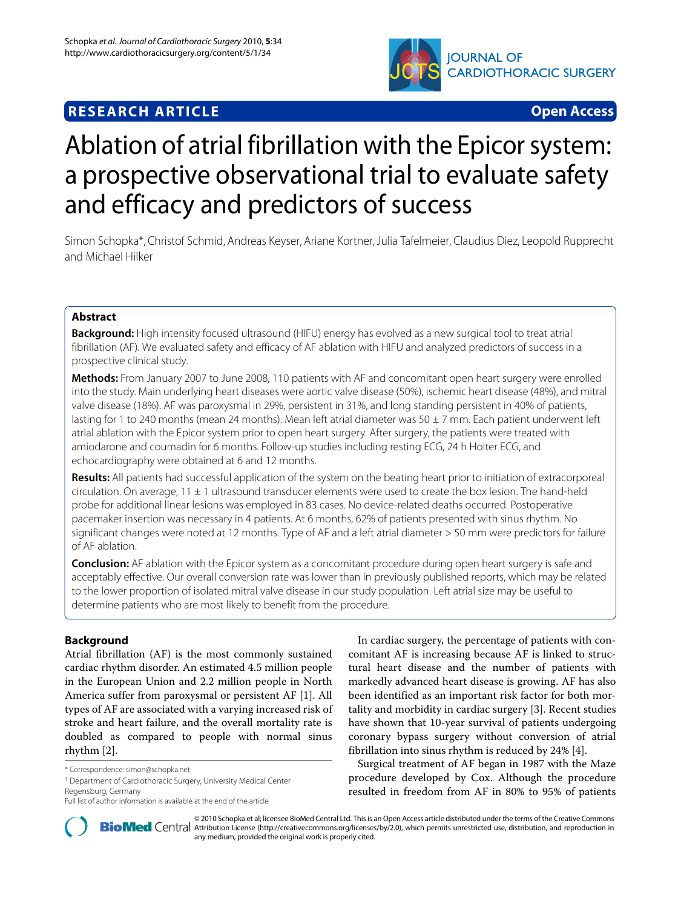

# **RESEARCH ARTICLE Open Access**

# Ablation of atrial fibrillation with the Epicor system: a prospective observational trial to evaluate safety and efficacy and predictors of success

Simon Schopka\*, Christof Schmid, Andreas Keyser, Ariane Kortner, Julia Tafelmeier, Claudius Diez, Leopold Rupprecht and Michael Hilker

# **Abstract**

**Background:** High intensity focused ultrasound (HIFU) energy has evolved as a new surgical tool to treat atrial fibrillation (AF). We evaluated safety and efficacy of AF ablation with HIFU and analyzed predictors of success in a prospective clinical study.

**Methods:** From January 2007 to June 2008, 110 patients with AF and concomitant open heart surgery were enrolled into the study. Main underlying heart diseases were aortic valve disease (50%), ischemic heart disease (48%), and mitral valve disease (18%). AF was paroxysmal in 29%, persistent in 31%, and long standing persistent in 40% of patients, lasting for 1 to 240 months (mean 24 months). Mean left atrial diameter was 50 ± 7 mm. Each patient underwent left atrial ablation with the Epicor system prior to open heart surgery. After surgery, the patients were treated with amiodarone and coumadin for 6 months. Follow-up studies including resting ECG, 24 h Holter ECG, and echocardiography were obtained at 6 and 12 months.

**Results:** All patients had successful application of the system on the beating heart prior to initiation of extracorporeal circulation. On average,  $11 \pm 1$  ultrasound transducer elements were used to create the box lesion. The hand-held probe for additional linear lesions was employed in 83 cases. No device-related deaths occurred. Postoperative pacemaker insertion was necessary in 4 patients. At 6 months, 62% of patients presented with sinus rhythm. No significant changes were noted at 12 months. Type of AF and a left atrial diameter > 50 mm were predictors for failure of AF ablation.

**Conclusion:** AF ablation with the Epicor system as a concomitant procedure during open heart surgery is safe and acceptably effective. Our overall conversion rate was lower than in previously published reports, which may be related to the lower proportion of isolated mitral valve disease in our study population. Left atrial size may be useful to determine patients who are most likely to benefit from the procedure.

# **Background**

Atrial fibrillation (AF) is the most commonly sustained cardiac rhythm disorder. An estimated 4.5 million people in the European Union and 2.2 million people in North America suffer from paroxysmal or persistent AF [\[1](#page-5-0)]. All types of AF are associated with a varying increased risk of stroke and heart failure, and the overall mortality rate is doubled as compared to people with normal sinus rhythm [[2\]](#page-5-1).

In cardiac surgery, the percentage of patients with concomitant AF is increasing because AF is linked to structural heart disease and the number of patients with markedly advanced heart disease is growing. AF has also been identified as an important risk factor for both mortality and morbidity in cardiac surgery [[3\]](#page-5-2). Recent studies have shown that 10-year survival of patients undergoing coronary bypass surgery without conversion of atrial fibrillation into sinus rhythm is reduced by 24% [\[4](#page-5-3)].

Surgical treatment of AF began in 1987 with the Maze procedure developed by Cox. Although the procedure resulted in freedom from AF in 80% to 95% of patients



2010 Schopka et al; licensee [BioMed](http://www.biomedcentral.com/) Central Ltd. This is an Open Access article distributed under the terms of the Creative Commons (http://creativecommons.org/licenses/by/2.0), which permits unrestricted use, distribution any medium, provided the original work is properly cited.

<sup>\*</sup> Correspondence: simon@schopka.net

<sup>1</sup> Department of Cardiothoracic Surgery, University Medical Center Regensburg, Germany

Full list of author information is available at the end of the article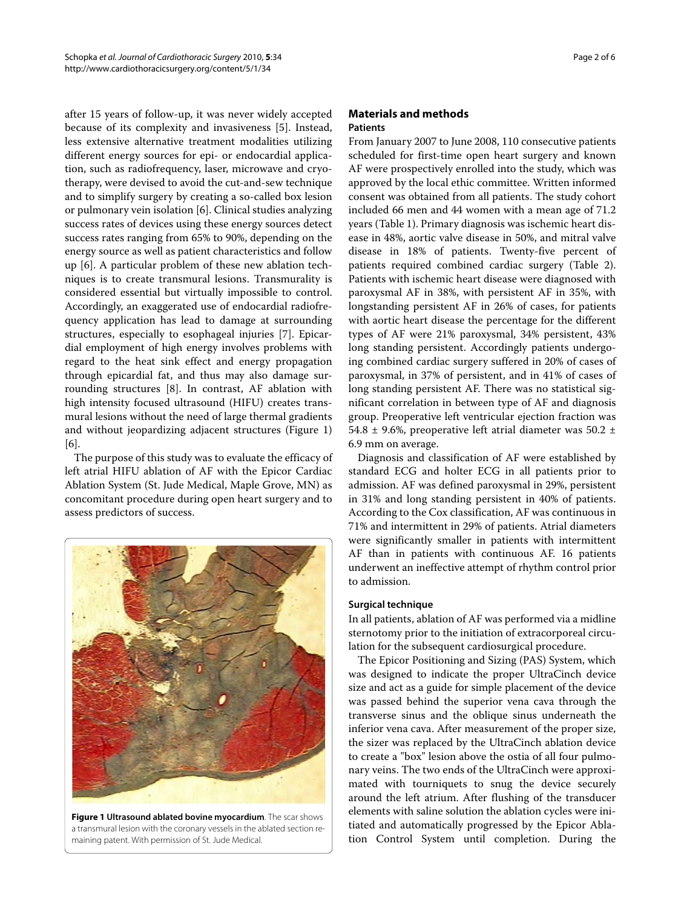after 15 years of follow-up, it was never widely accepted because of its complexity and invasiveness [[5\]](#page-5-4). Instead, less extensive alternative treatment modalities utilizing different energy sources for epi- or endocardial application, such as radiofrequency, laser, microwave and cryotherapy, were devised to avoid the cut-and-sew technique and to simplify surgery by creating a so-called box lesion or pulmonary vein isolation [[6\]](#page-5-5). Clinical studies analyzing success rates of devices using these energy sources detect success rates ranging from 65% to 90%, depending on the energy source as well as patient characteristics and follow up [[6](#page-5-5)]. A particular problem of these new ablation techniques is to create transmural lesions. Transmurality is considered essential but virtually impossible to control. Accordingly, an exaggerated use of endocardial radiofrequency application has lead to damage at surrounding structures, especially to esophageal injuries [[7\]](#page-5-6). Epicardial employment of high energy involves problems with regard to the heat sink effect and energy propagation through epicardial fat, and thus may also damage surrounding structures [\[8](#page-5-7)]. In contrast, AF ablation with high intensity focused ultrasound (HIFU) creates transmural lesions without the need of large thermal gradients and without jeopardizing adjacent structures (Figure [1](#page-1-0)) [[6\]](#page-5-5).

The purpose of this study was to evaluate the efficacy of left atrial HIFU ablation of AF with the Epicor Cardiac Ablation System (St. Jude Medical, Maple Grove, MN) as concomitant procedure during open heart surgery and to assess predictors of success.

<span id="page-1-0"></span>

**Figure 1 Ultrasound ablated bovine myocardium**. The scar shows a transmural lesion with the coronary vessels in the ablated section remaining patent. With permission of St. Jude Medical.

# **Materials and methods**

# **Patients**

From January 2007 to June 2008, 110 consecutive patients scheduled for first-time open heart surgery and known AF were prospectively enrolled into the study, which was approved by the local ethic committee. Written informed consent was obtained from all patients. The study cohort included 66 men and 44 women with a mean age of 71.2 years (Table 1). Primary diagnosis was ischemic heart disease in 48%, aortic valve disease in 50%, and mitral valve disease in 18% of patients. Twenty-five percent of patients required combined cardiac surgery (Table 2). Patients with ischemic heart disease were diagnosed with paroxysmal AF in 38%, with persistent AF in 35%, with longstanding persistent AF in 26% of cases, for patients with aortic heart disease the percentage for the different types of AF were 21% paroxysmal, 34% persistent, 43% long standing persistent. Accordingly patients undergoing combined cardiac surgery suffered in 20% of cases of paroxysmal, in 37% of persistent, and in 41% of cases of long standing persistent AF. There was no statistical significant correlation in between type of AF and diagnosis group. Preoperative left ventricular ejection fraction was 54.8  $\pm$  9.6%, preoperative left atrial diameter was 50.2  $\pm$ 6.9 mm on average.

Diagnosis and classification of AF were established by standard ECG and holter ECG in all patients prior to admission. AF was defined paroxysmal in 29%, persistent in 31% and long standing persistent in 40% of patients. According to the Cox classification, AF was continuous in 71% and intermittent in 29% of patients. Atrial diameters were significantly smaller in patients with intermittent AF than in patients with continuous AF. 16 patients underwent an ineffective attempt of rhythm control prior to admission.

#### **Surgical technique**

In all patients, ablation of AF was performed via a midline sternotomy prior to the initiation of extracorporeal circulation for the subsequent cardiosurgical procedure.

The Epicor Positioning and Sizing (PAS) System, which was designed to indicate the proper UltraCinch device size and act as a guide for simple placement of the device was passed behind the superior vena cava through the transverse sinus and the oblique sinus underneath the inferior vena cava. After measurement of the proper size, the sizer was replaced by the UltraCinch ablation device to create a "box" lesion above the ostia of all four pulmonary veins. The two ends of the UltraCinch were approximated with tourniquets to snug the device securely around the left atrium. After flushing of the transducer elements with saline solution the ablation cycles were initiated and automatically progressed by the Epicor Ablation Control System until completion. During the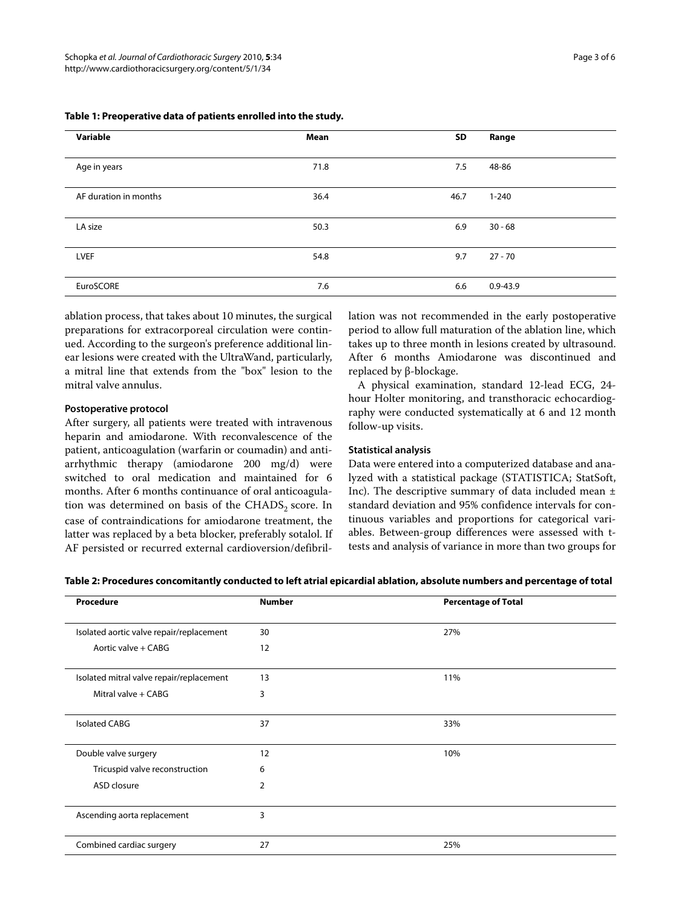| Variable              | Mean | SD   | Range        |
|-----------------------|------|------|--------------|
| Age in years          | 71.8 | 7.5  | 48-86        |
| AF duration in months | 36.4 | 46.7 | $1 - 240$    |
| LA size               | 50.3 | 6.9  | $30 - 68$    |
| <b>LVEF</b>           | 54.8 | 9.7  | $27 - 70$    |
| EuroSCORE             | 7.6  | 6.6  | $0.9 - 43.9$ |

### **Table 1: Preoperative data of patients enrolled into the study.**

ablation process, that takes about 10 minutes, the surgical preparations for extracorporeal circulation were continued. According to the surgeon's preference additional linear lesions were created with the UltraWand, particularly, a mitral line that extends from the "box" lesion to the mitral valve annulus.

#### **Postoperative protocol**

After surgery, all patients were treated with intravenous heparin and amiodarone. With reconvalescence of the patient, anticoagulation (warfarin or coumadin) and antiarrhythmic therapy (amiodarone 200 mg/d) were switched to oral medication and maintained for 6 months. After 6 months continuance of oral anticoagulation was determined on basis of the  $\text{CHADS}_2$  score. In case of contraindications for amiodarone treatment, the latter was replaced by a beta blocker, preferably sotalol. If AF persisted or recurred external cardioversion/defibrillation was not recommended in the early postoperative period to allow full maturation of the ablation line, which takes up to three month in lesions created by ultrasound. After 6 months Amiodarone was discontinued and replaced by β-blockage.

A physical examination, standard 12-lead ECG, 24 hour Holter monitoring, and transthoracic echocardiography were conducted systematically at 6 and 12 month follow-up visits.

### **Statistical analysis**

Data were entered into a computerized database and analyzed with a statistical package (STATISTICA; StatSoft, Inc). The descriptive summary of data included mean ± standard deviation and 95% confidence intervals for continuous variables and proportions for categorical variables. Between-group differences were assessed with ttests and analysis of variance in more than two groups for

|  | Table 2: Procedures concomitantly conducted to left atrial epicardial ablation, absolute numbers and percentage of total |  |
|--|--------------------------------------------------------------------------------------------------------------------------|--|
|  |                                                                                                                          |  |

| Procedure                                | <b>Number</b>  | <b>Percentage of Total</b> |  |
|------------------------------------------|----------------|----------------------------|--|
| Isolated aortic valve repair/replacement | 30             | 27%                        |  |
| Aortic valve + CABG                      | 12             |                            |  |
| Isolated mitral valve repair/replacement | 13             | 11%                        |  |
| Mitral valve + CABG                      | 3              |                            |  |
| <b>Isolated CABG</b>                     | 37             | 33%                        |  |
| Double valve surgery                     | 12             | 10%                        |  |
| Tricuspid valve reconstruction           | 6              |                            |  |
| ASD closure                              | $\overline{2}$ |                            |  |
| Ascending aorta replacement              | 3              |                            |  |
| Combined cardiac surgery                 | 27             | 25%                        |  |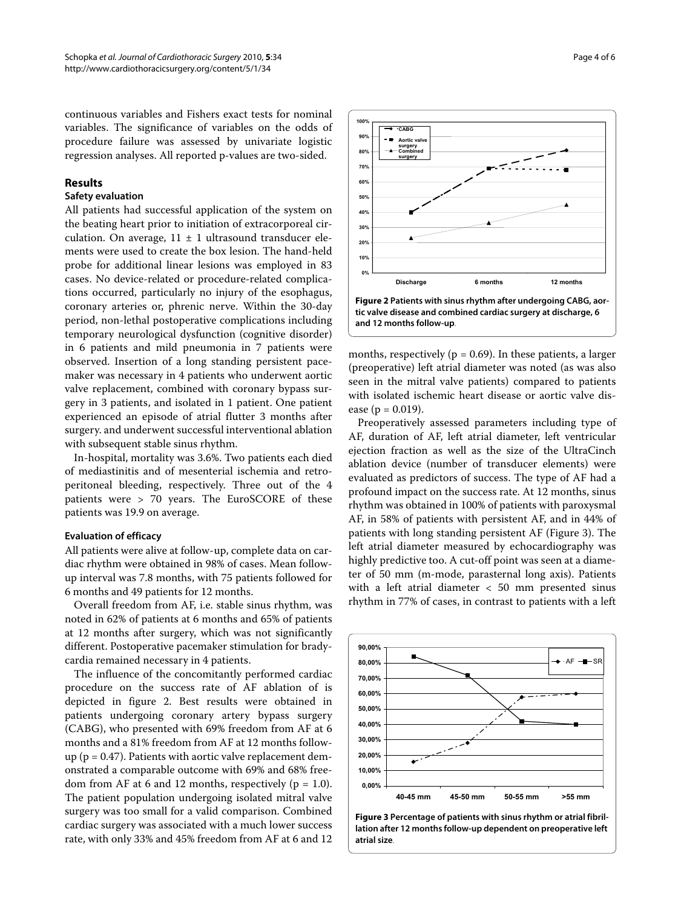continuous variables and Fishers exact tests for nominal variables. The significance of variables on the odds of procedure failure was assessed by univariate logistic regression analyses. All reported p-values are two-sided.

# **Results**

### **Safety evaluation**

All patients had successful application of the system on the beating heart prior to initiation of extracorporeal circulation. On average,  $11 \pm 1$  ultrasound transducer elements were used to create the box lesion. The hand-held probe for additional linear lesions was employed in 83 cases. No device-related or procedure-related complications occurred, particularly no injury of the esophagus, coronary arteries or, phrenic nerve. Within the 30-day period, non-lethal postoperative complications including temporary neurological dysfunction (cognitive disorder) in 6 patients and mild pneumonia in 7 patients were observed. Insertion of a long standing persistent pacemaker was necessary in 4 patients who underwent aortic valve replacement, combined with coronary bypass surgery in 3 patients, and isolated in 1 patient. One patient experienced an episode of atrial flutter 3 months after surgery. and underwent successful interventional ablation with subsequent stable sinus rhythm.

In-hospital, mortality was 3.6%. Two patients each died of mediastinitis and of mesenterial ischemia and retroperitoneal bleeding, respectively. Three out of the 4 patients were > 70 years. The EuroSCORE of these patients was 19.9 on average.

#### **Evaluation of efficacy**

All patients were alive at follow-up, complete data on cardiac rhythm were obtained in 98% of cases. Mean followup interval was 7.8 months, with 75 patients followed for 6 months and 49 patients for 12 months.

Overall freedom from AF, i.e. stable sinus rhythm, was noted in 62% of patients at 6 months and 65% of patients at 12 months after surgery, which was not significantly different. Postoperative pacemaker stimulation for bradycardia remained necessary in 4 patients.

The influence of the concomitantly performed cardiac procedure on the success rate of AF ablation of is depicted in figure [2.](#page-3-0) Best results were obtained in patients undergoing coronary artery bypass surgery (CABG), who presented with 69% freedom from AF at 6 months and a 81% freedom from AF at 12 months followup ( $p = 0.47$ ). Patients with aortic valve replacement demonstrated a comparable outcome with 69% and 68% freedom from AF at 6 and 12 months, respectively ( $p = 1.0$ ). The patient population undergoing isolated mitral valve surgery was too small for a valid comparison. Combined cardiac surgery was associated with a much lower success rate, with only 33% and 45% freedom from AF at 6 and 12

<span id="page-3-0"></span>

months, respectively ( $p = 0.69$ ). In these patients, a larger (preoperative) left atrial diameter was noted (as was also seen in the mitral valve patients) compared to patients with isolated ischemic heart disease or aortic valve disease ( $p = 0.019$ ).

Preoperatively assessed parameters including type of AF, duration of AF, left atrial diameter, left ventricular ejection fraction as well as the size of the UltraCinch ablation device (number of transducer elements) were evaluated as predictors of success. The type of AF had a profound impact on the success rate. At 12 months, sinus rhythm was obtained in 100% of patients with paroxysmal AF, in 58% of patients with persistent AF, and in 44% of patients with long standing persistent AF (Figure [3](#page-3-1)). The left atrial diameter measured by echocardiography was highly predictive too. A cut-off point was seen at a diameter of 50 mm (m-mode, parasternal long axis). Patients with a left atrial diameter < 50 mm presented sinus rhythm in 77% of cases, in contrast to patients with a left

<span id="page-3-1"></span>

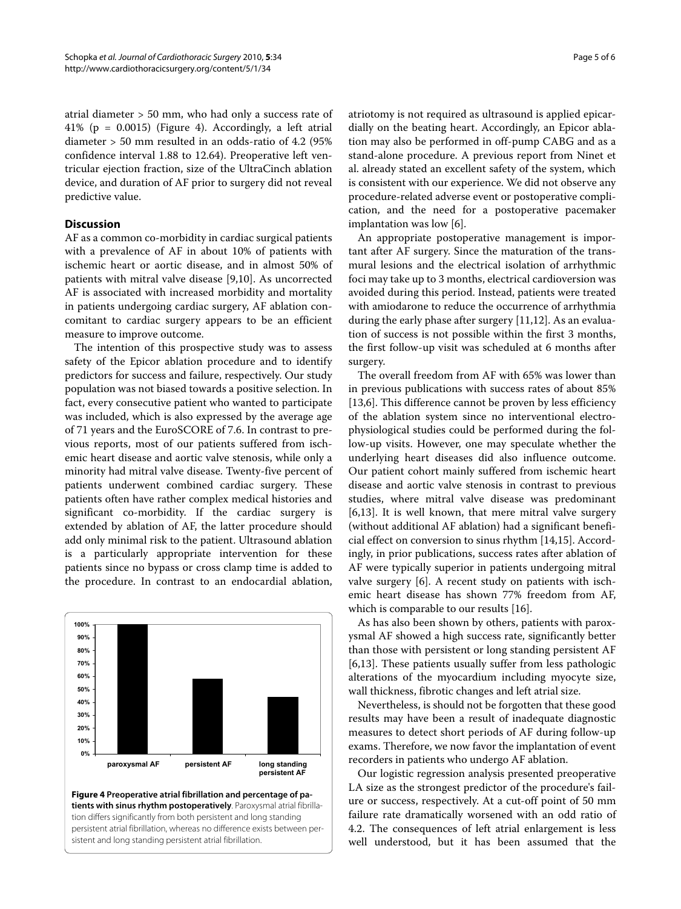atrial diameter > 50 mm, who had only a success rate of 41% (p = 0.0015) (Figure [4\)](#page-4-0). Accordingly, a left atrial diameter > 50 mm resulted in an odds-ratio of 4.2 (95% confidence interval 1.88 to 12.64). Preoperative left ventricular ejection fraction, size of the UltraCinch ablation device, and duration of AF prior to surgery did not reveal predictive value.

# **Discussion**

AF as a common co-morbidity in cardiac surgical patients with a prevalence of AF in about 10% of patients with ischemic heart or aortic disease, and in almost 50% of patients with mitral valve disease [\[9](#page-5-8)[,10](#page-5-9)]. As uncorrected AF is associated with increased morbidity and mortality in patients undergoing cardiac surgery, AF ablation concomitant to cardiac surgery appears to be an efficient measure to improve outcome.

The intention of this prospective study was to assess safety of the Epicor ablation procedure and to identify predictors for success and failure, respectively. Our study population was not biased towards a positive selection. In fact, every consecutive patient who wanted to participate was included, which is also expressed by the average age of 71 years and the EuroSCORE of 7.6. In contrast to previous reports, most of our patients suffered from ischemic heart disease and aortic valve stenosis, while only a minority had mitral valve disease. Twenty-five percent of patients underwent combined cardiac surgery. These patients often have rather complex medical histories and significant co-morbidity. If the cardiac surgery is extended by ablation of AF, the latter procedure should add only minimal risk to the patient. Ultrasound ablation is a particularly appropriate intervention for these patients since no bypass or cross clamp time is added to the procedure. In contrast to an endocardial ablation,

<span id="page-4-0"></span>

tion differs significantly from both persistent and long standing persistent atrial fibrillation, whereas no difference exists between persistent and long standing persistent atrial fibrillation.

atriotomy is not required as ultrasound is applied epicardially on the beating heart. Accordingly, an Epicor ablation may also be performed in off-pump CABG and as a stand-alone procedure. A previous report from Ninet et al. already stated an excellent safety of the system, which is consistent with our experience. We did not observe any procedure-related adverse event or postoperative complication, and the need for a postoperative pacemaker implantation was low [[6](#page-5-5)].

An appropriate postoperative management is important after AF surgery. Since the maturation of the transmural lesions and the electrical isolation of arrhythmic foci may take up to 3 months, electrical cardioversion was avoided during this period. Instead, patients were treated with amiodarone to reduce the occurrence of arrhythmia during the early phase after surgery [\[11](#page-5-10)[,12\]](#page-5-11). As an evaluation of success is not possible within the first 3 months, the first follow-up visit was scheduled at 6 months after surgery.

The overall freedom from AF with 65% was lower than in previous publications with success rates of about 85% [[13,](#page-5-12)[6\]](#page-5-5). This difference cannot be proven by less efficiency of the ablation system since no interventional electrophysiological studies could be performed during the follow-up visits. However, one may speculate whether the underlying heart diseases did also influence outcome. Our patient cohort mainly suffered from ischemic heart disease and aortic valve stenosis in contrast to previous studies, where mitral valve disease was predominant [[6,](#page-5-5)[13\]](#page-5-12). It is well known, that mere mitral valve surgery (without additional AF ablation) had a significant beneficial effect on conversion to sinus rhythm [[14,](#page-5-13)[15\]](#page-5-14). Accordingly, in prior publications, success rates after ablation of AF were typically superior in patients undergoing mitral valve surgery [\[6](#page-5-5)]. A recent study on patients with ischemic heart disease has shown 77% freedom from AF, which is comparable to our results [\[16](#page-5-15)].

As has also been shown by others, patients with paroxysmal AF showed a high success rate, significantly better than those with persistent or long standing persistent AF [[6,](#page-5-5)[13\]](#page-5-12). These patients usually suffer from less pathologic alterations of the myocardium including myocyte size, wall thickness, fibrotic changes and left atrial size.

Nevertheless, is should not be forgotten that these good results may have been a result of inadequate diagnostic measures to detect short periods of AF during follow-up exams. Therefore, we now favor the implantation of event recorders in patients who undergo AF ablation.

Our logistic regression analysis presented preoperative LA size as the strongest predictor of the procedure's failure or success, respectively. At a cut-off point of 50 mm failure rate dramatically worsened with an odd ratio of 4.2. The consequences of left atrial enlargement is less well understood, but it has been assumed that the